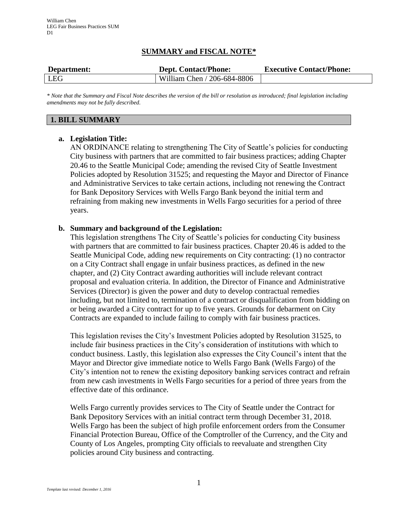# **SUMMARY and FISCAL NOTE\***

| Department: | <b>Dept. Contact/Phone:</b> | <b>Executive Contact/Phone:</b> |  |  |  |
|-------------|-----------------------------|---------------------------------|--|--|--|
| <b>LEG</b>  | William Chen / 206-684-8806 |                                 |  |  |  |

*\* Note that the Summary and Fiscal Note describes the version of the bill or resolution as introduced; final legislation including amendments may not be fully described.*

## **1. BILL SUMMARY**

## **a. Legislation Title:**

AN ORDINANCE relating to strengthening The City of Seattle's policies for conducting City business with partners that are committed to fair business practices; adding Chapter 20.46 to the Seattle Municipal Code; amending the revised City of Seattle Investment Policies adopted by Resolution 31525; and requesting the Mayor and Director of Finance and Administrative Services to take certain actions, including not renewing the Contract for Bank Depository Services with Wells Fargo Bank beyond the initial term and refraining from making new investments in Wells Fargo securities for a period of three years.

## **b. Summary and background of the Legislation:**

This legislation strengthens The City of Seattle's policies for conducting City business with partners that are committed to fair business practices. Chapter 20.46 is added to the Seattle Municipal Code, adding new requirements on City contracting: (1) no contractor on a City Contract shall engage in unfair business practices, as defined in the new chapter, and (2) City Contract awarding authorities will include relevant contract proposal and evaluation criteria. In addition, the Director of Finance and Administrative Services (Director) is given the power and duty to develop contractual remedies including, but not limited to, termination of a contract or disqualification from bidding on or being awarded a City contract for up to five years. Grounds for debarment on City Contracts are expanded to include failing to comply with fair business practices.

This legislation revises the City's Investment Policies adopted by Resolution 31525, to include fair business practices in the City's consideration of institutions with which to conduct business. Lastly, this legislation also expresses the City Council's intent that the Mayor and Director give immediate notice to Wells Fargo Bank (Wells Fargo) of the City's intention not to renew the existing depository banking services contract and refrain from new cash investments in Wells Fargo securities for a period of three years from the effective date of this ordinance.

Wells Fargo currently provides services to The City of Seattle under the Contract for Bank Depository Services with an initial contract term through December 31, 2018. Wells Fargo has been the subject of high profile enforcement orders from the Consumer Financial Protection Bureau, Office of the Comptroller of the Currency, and the City and County of Los Angeles, prompting City officials to reevaluate and strengthen City policies around City business and contracting.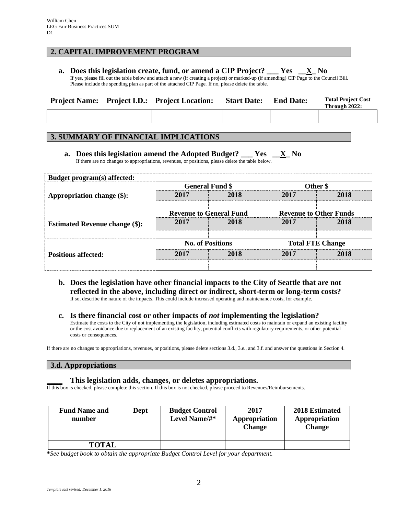## **2. CAPITAL IMPROVEMENT PROGRAM**

**a. Does this legislation create, fund, or amend a CIP Project? \_\_\_ Yes \_\_X\_ No** If yes, please fill out the table below and attach a new (if creating a project) or marked-up (if amending) CIP Page to the Council Bill. Please include the spending plan as part of the attached CIP Page. If no, please delete the table.

|  | <b>Project Name:</b> Project I.D.: Project Location: | <b>Start Date:</b> | <b>End Date:</b> | <b>Total Project Cost</b><br>Through 2022: |
|--|------------------------------------------------------|--------------------|------------------|--------------------------------------------|
|  |                                                      |                    |                  |                                            |

## **3. SUMMARY OF FINANCIAL IMPLICATIONS**

**a. Does this legislation amend the Adopted Budget? \_\_\_ Yes \_\_X\_ No** If there are no changes to appropriations, revenues, or positions, please delete the table below.

| Budget program(s) affected:                                         |                                |                        |                               |      |  |
|---------------------------------------------------------------------|--------------------------------|------------------------|-------------------------------|------|--|
|                                                                     |                                | <b>General Fund \$</b> | Other \$                      |      |  |
| Appropriation change (\$):                                          | 2017                           | 2018                   | 2017                          | 2018 |  |
|                                                                     |                                |                        |                               |      |  |
| <b>Estimated Revenue change (\$):</b><br><b>Positions affected:</b> | <b>Revenue to General Fund</b> |                        | <b>Revenue to Other Funds</b> |      |  |
|                                                                     | 2017                           | 2018                   | 2017                          | 2018 |  |
|                                                                     | <b>No. of Positions</b>        |                        | <b>Total FTE Change</b>       |      |  |
|                                                                     | 2017                           | 2018                   | 2017                          | 2018 |  |
|                                                                     |                                |                        |                               |      |  |

**b. Does the legislation have other financial impacts to the City of Seattle that are not reflected in the above, including direct or indirect, short-term or long-term costs?** If so, describe the nature of the impacts. This could include increased operating and maintenance costs, for example.

# **c. Is there financial cost or other impacts of** *not* **implementing the legislation?**

Estimate the costs to the City of not implementing the legislation, including estimated costs to maintain or expand an existing facility or the cost avoidance due to replacement of an existing facility, potential conflicts with regulatory requirements, or other potential costs or consequences.

If there are no changes to appropriations, revenues, or positions, please delete sections 3.d., 3.e., and 3.f. and answer the questions in Section 4.

### **3.d. Appropriations**

### **\_\_\_\_ This legislation adds, changes, or deletes appropriations.**

If this box is checked, please complete this section. If this box is not checked, please proceed to Revenues/Reimbursements.

| <b>Fund Name and</b><br>number | Dept | <b>Budget Control</b><br>Level Name/#* | 2017<br>Appropriation<br><b>Change</b> | 2018 Estimated<br>Appropriation<br><b>Change</b> |  |
|--------------------------------|------|----------------------------------------|----------------------------------------|--------------------------------------------------|--|
|                                |      |                                        |                                        |                                                  |  |
| <b>TOTAL</b>                   |      |                                        |                                        |                                                  |  |

**\****See budget book to obtain the appropriate Budget Control Level for your department.*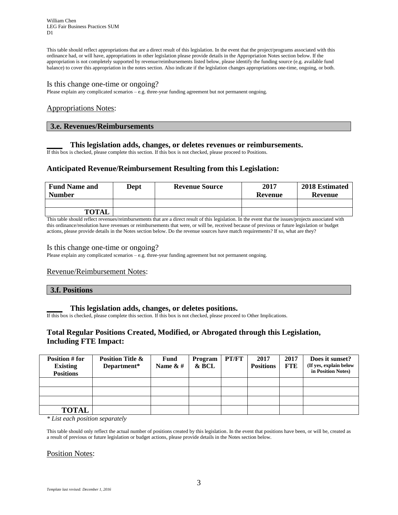William Chen LEG Fair Business Practices SUM D<sub>1</sub>

This table should reflect appropriations that are a direct result of this legislation. In the event that the project/programs associated with this ordinance had, or will have, appropriations in other legislation please provide details in the Appropriation Notes section below. If the appropriation is not completely supported by revenue/reimbursements listed below, please identify the funding source (e.g. available fund balance) to cover this appropriation in the notes section. Also indicate if the legislation changes appropriations one-time, ongoing, or both.

#### Is this change one-time or ongoing?

Please explain any complicated scenarios – e.g. three-year funding agreement but not permanent ongoing.

### Appropriations Notes:

### **3.e. Revenues/Reimbursements**

### **\_\_\_\_ This legislation adds, changes, or deletes revenues or reimbursements.**

If this box is checked, please complete this section. If this box is not checked, please proceed to Positions.

## **Anticipated Revenue/Reimbursement Resulting from this Legislation:**

| <b>Fund Name and</b><br><b>Number</b> | Dept | <b>Revenue Source</b> | 2017<br>Revenue | 2018 Estimated<br>Revenue |
|---------------------------------------|------|-----------------------|-----------------|---------------------------|
|                                       |      |                       |                 |                           |
| <b>TOTAL</b>                          |      |                       |                 |                           |

This table should reflect revenues/reimbursements that are a direct result of this legislation. In the event that the issues/projects associated with this ordinance/resolution have revenues or reimbursements that were, or will be, received because of previous or future legislation or budget actions, please provide details in the Notes section below. Do the revenue sources have match requirements? If so, what are they?

#### Is this change one-time or ongoing?

Please explain any complicated scenarios – e.g. three-year funding agreement but not permanent ongoing.

### Revenue/Reimbursement Notes:

### **3.f. Positions**

### **\_\_\_\_ This legislation adds, changes, or deletes positions.**

If this box is checked, please complete this section. If this box is not checked, please proceed to Other Implications.

## **Total Regular Positions Created, Modified, or Abrogated through this Legislation, Including FTE Impact:**

| Position # for<br><b>Existing</b><br><b>Positions</b> | <b>Position Title &amp;</b><br>Department* | Fund<br>Name $\& \#$ | Program<br>& BCL | PT/FT | 2017<br><b>Positions</b> | 2017<br>FTE | Does it sunset?<br>(If yes, explain below<br>in Position Notes) |
|-------------------------------------------------------|--------------------------------------------|----------------------|------------------|-------|--------------------------|-------------|-----------------------------------------------------------------|
|                                                       |                                            |                      |                  |       |                          |             |                                                                 |
|                                                       |                                            |                      |                  |       |                          |             |                                                                 |
|                                                       |                                            |                      |                  |       |                          |             |                                                                 |
| <b>TOTAL</b>                                          |                                            |                      |                  |       |                          |             |                                                                 |

*\* List each position separately*

This table should only reflect the actual number of positions created by this legislation. In the event that positions have been, or will be, created as a result of previous or future legislation or budget actions, please provide details in the Notes section below.

#### Position Notes: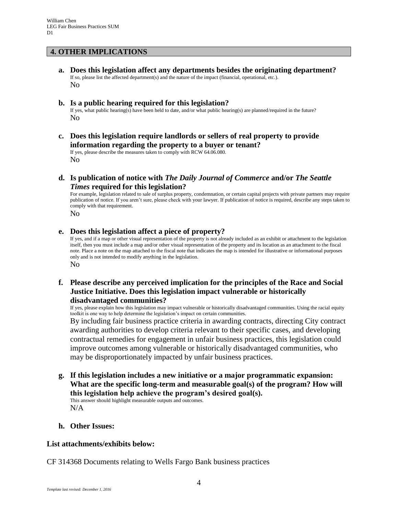## **4. OTHER IMPLICATIONS**

**a. Does this legislation affect any departments besides the originating department?** If so, please list the affected department(s) and the nature of the impact (financial, operational, etc.). No

### **b. Is a public hearing required for this legislation?**

If yes, what public hearing(s) have been held to date, and/or what public hearing(s) are planned/required in the future? No

**c. Does this legislation require landlords or sellers of real property to provide information regarding the property to a buyer or tenant?**

If yes, please describe the measures taken to comply with RCW 64.06.080. No

**d. Is publication of notice with** *The Daily Journal of Commerce* **and/or** *The Seattle Times* **required for this legislation?**

For example, legislation related to sale of surplus property, condemnation, or certain capital projects with private partners may require publication of notice. If you aren't sure, please check with your lawyer. If publication of notice is required, describe any steps taken to comply with that requirement.

No

### **e. Does this legislation affect a piece of property?**

If yes, and if a map or other visual representation of the property is not already included as an exhibit or attachment to the legislation itself, then you must include a map and/or other visual representation of the property and its location as an attachment to the fiscal note. Place a note on the map attached to the fiscal note that indicates the map is intended for illustrative or informational purposes only and is not intended to modify anything in the legislation. No

## **f. Please describe any perceived implication for the principles of the Race and Social Justice Initiative. Does this legislation impact vulnerable or historically disadvantaged communities?**

If yes, please explain how this legislation may impact vulnerable or historically disadvantaged communities. Using the racial equity toolkit is one way to help determine the legislation's impact on certain communities.

By including fair business practice criteria in awarding contracts, directing City contract awarding authorities to develop criteria relevant to their specific cases, and developing contractual remedies for engagement in unfair business practices, this legislation could improve outcomes among vulnerable or historically disadvantaged communities, who may be disproportionately impacted by unfair business practices.

**g. If this legislation includes a new initiative or a major programmatic expansion: What are the specific long-term and measurable goal(s) of the program? How will this legislation help achieve the program's desired goal(s).**

This answer should highlight measurable outputs and outcomes. N/A

### **h. Other Issues:**

### **List attachments/exhibits below:**

CF 314368 Documents relating to Wells Fargo Bank business practices